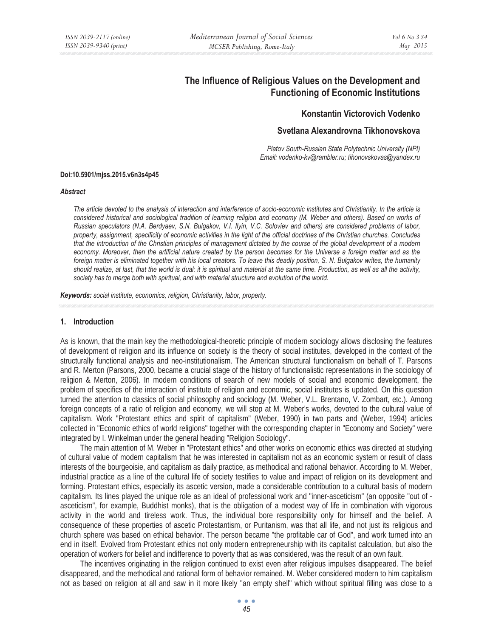# **The Influence of Religious Values on the Development and Functioning of Economic Institutions**

# **Konstantin Victorovich Vodenko**

# **Svetlana Alexandrovna Tikhonovskova**

*Platov South-Russian State Polytechnic University (NPI) Email: vodenko-kv@rambler.ru; tihonovskovas@yandex.ru* 

#### **Doi:10.5901/mjss.2015.v6n3s4p45**

#### *Abstract*

*The article devoted to the analysis of interaction and interference of socio-economic institutes and Christianity. In the article is*  considered historical and sociological tradition of learning religion and economy (M. Weber and others). Based on works of *Russian speculators (N.A. Berdyaev, S.N. Bulgakov, V.I. Ilyin, V.C. Soloviev and others) are considered problems of labor, property, assignment, specificity of economic activities in the light of the official doctrines of the Christian churches. Concludes that the introduction of the Christian principles of management dictated by the course of the global development of a modern*  economy. Moreover, then the artificial nature created by the person becomes for the Universe a foreign matter and as the *foreign matter is eliminated together with his local creators. To leave this deadly position, S. N. Bulgakov writes, the humanity should realize, at last, that the world is dual: it is spiritual and material at the same time. Production, as well as all the activity, society has to merge both with spiritual, and with material structure and evolution of the world.* 

*Keywords: social institute, economics, religion, Christianity, labor, property.* 

### **1. Introduction**

As is known, that the main key the methodological-theoretic principle of modern sociology allows disclosing the features of development of religion and its influence on society is the theory of social institutes, developed in the context of the structurally functional analysis and neo-institutionalism. The American structural functionalism on behalf of T. Parsons and R. Merton (Parsons, 2000, became a crucial stage of the history of functionalistic representations in the sociology of religion & Merton, 2006). In modern conditions of search of new models of social and economic development, the problem of specifics of the interaction of institute of religion and economic, social institutes is updated. On this question turned the attention to classics of social philosophy and sociology (M. Weber, V.L. Brentano, V. Zombart, etc.). Among foreign concepts of a ratio of religion and economy, we will stop at M. Weber's works, devoted to the cultural value of capitalism. Work "Protestant ethics and spirit of capitalism" (Weber, 1990) in two parts and (Weber, 1994) articles collected in "Economic ethics of world religions" together with the corresponding chapter in "Economy and Society" were integrated by I. Winkelman under the general heading "Religion Sociology".

The main attention of M. Weber in "Protestant ethics" and other works on economic ethics was directed at studying of cultural value of modern capitalism that he was interested in capitalism not as an economic system or result of class interests of the bourgeoisie, and capitalism as daily practice, as methodical and rational behavior. According to M. Weber, industrial practice as a line of the cultural life of society testifies to value and impact of religion on its development and forming. Protestant ethics, especially its ascetic version, made a considerable contribution to a cultural basis of modern capitalism. Its lines played the unique role as an ideal of professional work and "inner-asceticism" (an opposite "out of asceticism", for example, Buddhist monks), that is the obligation of a modest way of life in combination with vigorous activity in the world and tireless work. Thus, the individual bore responsibility only for himself and the belief. A consequence of these properties of ascetic Protestantism, or Puritanism, was that all life, and not just its religious and church sphere was based on ethical behavior. The person became "the profitable car of God", and work turned into an end in itself. Evolved from Protestant ethics not only modern entrepreneurship with its capitalist calculation, but also the operation of workers for belief and indifference to poverty that as was considered, was the result of an own fault.

The incentives originating in the religion continued to exist even after religious impulses disappeared. The belief disappeared, and the methodical and rational form of behavior remained. M. Weber considered modern to him capitalism not as based on religion at all and saw in it more likely "an empty shell" which without spiritual filling was close to a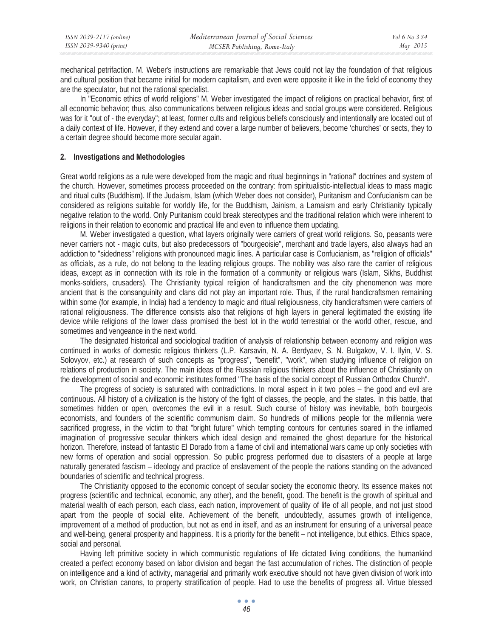mechanical petrifaction. M. Weber's instructions are remarkable that Jews could not lay the foundation of that religious and cultural position that became initial for modern capitalism, and even were opposite it like in the field of economy they are the speculator, but not the rational specialist.

In "Economic ethics of world religions" M. Weber investigated the impact of religions on practical behavior, first of all economic behavior; thus, also communications between religious ideas and social groups were considered. Religious was for it "out of - the everyday"; at least, former cults and religious beliefs consciously and intentionally are located out of a daily context of life. However, if they extend and cover a large number of believers, become 'churches' or sects, they to a certain degree should become more secular again.

# **2. Investigations and Methodologies**

Great world religions as a rule were developed from the magic and ritual beginnings in "rational" doctrines and system of the church. However, sometimes process proceeded on the contrary: from spiritualistic-intellectual ideas to mass magic and ritual cults (Buddhism). If the Judaism, Islam (which Weber does not consider), Puritanism and Confucianism can be considered as religions suitable for worldly life, for the Buddhism, Jainism, a Lamaism and early Christianity typically negative relation to the world. Only Puritanism could break stereotypes and the traditional relation which were inherent to religions in their relation to economic and practical life and even to influence them updating.

M. Weber investigated a question, what layers originally were carriers of great world religions. So, peasants were never carriers not - magic cults, but also predecessors of "bourgeoisie", merchant and trade layers, also always had an addiction to "sidedness" religions with pronounced magic lines. A particular case is Confucianism, as "religion of officials" as officials, as a rule, do not belong to the leading religious groups. The nobility was also rare the carrier of religious ideas, except as in connection with its role in the formation of a community or religious wars (Islam, Sikhs, Buddhist monks-soldiers, crusaders). The Christianity typical religion of handicraftsmen and the city phenomenon was more ancient that is the consanguinity and clans did not play an important role. Thus, if the rural handicraftsmen remaining within some (for example, in India) had a tendency to magic and ritual religiousness, city handicraftsmen were carriers of rational religiousness. The difference consists also that religions of high layers in general legitimated the existing life device while religions of the lower class promised the best lot in the world terrestrial or the world other, rescue, and sometimes and vengeance in the next world.

The designated historical and sociological tradition of analysis of relationship between economy and religion was continued in works of domestic religious thinkers (L.P. Karsavin, N. A. Berdyaev, S. N. Bulgakov, V. I. Ilyin, V. S. Solovyov, etc.) at research of such concepts as "progress", "benefit", "work", when studying influence of religion on relations of production in society. The main ideas of the Russian religious thinkers about the influence of Christianity on the development of social and economic institutes formed "The basis of the social concept of Russian Orthodox Church".

The progress of society is saturated with contradictions. In moral aspect in it two poles – the good and evil are continuous. All history of a civilization is the history of the fight of classes, the people, and the states. In this battle, that sometimes hidden or open, overcomes the evil in a result. Such course of history was inevitable, both bourgeois economists, and founders of the scientific communism claim. So hundreds of millions people for the millennia were sacrificed progress, in the victim to that "bright future" which tempting contours for centuries soared in the inflamed imagination of progressive secular thinkers which ideal design and remained the ghost departure for the historical horizon. Therefore, instead of fantastic El Dorado from a flame of civil and international wars came up only societies with new forms of operation and social oppression. So public progress performed due to disasters of a people at large naturally generated fascism – ideology and practice of enslavement of the people the nations standing on the advanced boundaries of scientific and technical progress.

The Christianity opposed to the economic concept of secular society the economic theory. Its essence makes not progress (scientific and technical, economic, any other), and the benefit, good. The benefit is the growth of spiritual and material wealth of each person, each class, each nation, improvement of quality of life of all people, and not just stood apart from the people of social elite. Achievement of the benefit, undoubtedly, assumes growth of intelligence, improvement of a method of production, but not as end in itself, and as an instrument for ensuring of a universal peace and well-being, general prosperity and happiness. It is a priority for the benefit – not intelligence, but ethics. Ethics space, social and personal.

Having left primitive society in which communistic regulations of life dictated living conditions, the humankind created a perfect economy based on labor division and began the fast accumulation of riches. The distinction of people on intelligence and a kind of activity, managerial and primarily work executive should not have given division of work into work, on Christian canons, to property stratification of people. Had to use the benefits of progress all. Virtue blessed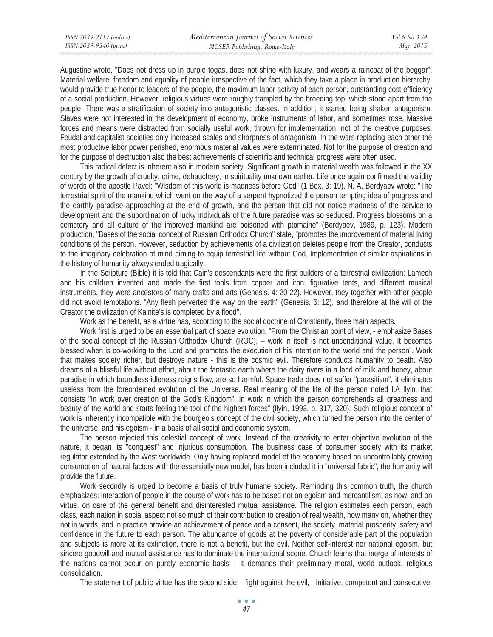Augustine wrote, "Does not dress up in purple togas, does not shine with luxury, and wears a raincoat of the beggar". Material welfare, freedom and equality of people irrespective of the fact, which they take a place in production hierarchy, would provide true honor to leaders of the people, the maximum labor activity of each person, outstanding cost efficiency of a social production. However, religious virtues were roughly trampled by the breeding top, which stood apart from the people. There was a stratification of society into antagonistic classes. In addition, it started being shaken antagonism. Slaves were not interested in the development of economy, broke instruments of labor, and sometimes rose. Massive forces and means were distracted from socially useful work, thrown for implementation, not of the creative purposes. Feudal and capitalist societies only increased scales and sharpness of antagonism. In the wars replacing each other the most productive labor power perished, enormous material values were exterminated. Not for the purpose of creation and for the purpose of destruction also the best achievements of scientific and technical progress were often used.

This radical defect is inherent also in modern society. Significant growth in material wealth was followed in the XX century by the growth of cruelty, crime, debauchery, in spirituality unknown earlier. Life once again confirmed the validity of words of the apostle Pavel: "Wisdom of this world is madness before God" (1 Box. 3: 19). N. A. Berdyaev wrote: "The terrestrial spirit of the mankind which went on the way of a serpent hypnotized the person tempting idea of progress and the earthly paradise approaching at the end of growth, and the person that did not notice madness of the service to development and the subordination of lucky individuals of the future paradise was so seduced. Progress blossoms on a cemetery and all culture of the improved mankind are poisoned with ptomaine" (Berdyaev, 1989, p. 123). Modern production, "Bases of the social concept of Russian Orthodox Church" state, "promotes the improvement of material living conditions of the person. However, seduction by achievements of a civilization deletes people from the Creator, conducts to the imaginary celebration of mind aiming to equip terrestrial life without God. Implementation of similar aspirations in the history of humanity always ended tragically.

In the Scripture (Bible) it is told that Cain's descendants were the first builders of a terrestrial civilization: Lamech and his children invented and made the first tools from copper and iron, figurative tents, and different musical instruments, they were ancestors of many crafts and arts (Genesis. 4: 20-22). However, they together with other people did not avoid temptations. "Any flesh perverted the way on the earth" (Genesis. 6: 12), and therefore at the will of the Creator the civilization of Kainite's is completed by a flood".

Work as the benefit, as a virtue has, according to the social doctrine of Christianity, three main aspects.

Work first is urged to be an essential part of space evolution. "From the Christian point of view, - emphasize Bases of the social concept of the Russian Orthodox Church (ROC), – work in itself is not unconditional value. It becomes blessed when is co-working to the Lord and promotes the execution of his intention to the world and the person". Work that makes society richer, but destroys nature - this is the cosmic evil. Therefore conducts humanity to death. Also dreams of a blissful life without effort, about the fantastic earth where the dairy rivers in a land of milk and honey, about paradise in which boundless idleness reigns flow, are so harmful. Space trade does not suffer "parasitism", it eliminates useless from the foreordained evolution of the Universe. Real meaning of the life of the person noted I.A Ilyin, that consists "In work over creation of the God's Kingdom", in work in which the person comprehends all greatness and beauty of the world and starts feeling the tool of the highest forces" (Ilyin, 1993, p. 317, 320). Such religious concept of work is inherently incompatible with the bourgeois concept of the civil society, which turned the person into the center of the universe, and his egoism - in a basis of all social and economic system.

The person rejected this celestial concept of work. Instead of the creativity to enter objective evolution of the nature, it began its "conquest" and injurious consumption. The business case of consumer society with its market regulator extended by the West worldwide. Only having replaced model of the economy based on uncontrollably growing consumption of natural factors with the essentially new model, has been included it in "universal fabric", the humanity will provide the future.

Work secondly is urged to become a basis of truly humane society. Reminding this common truth, the church emphasizes: interaction of people in the course of work has to be based not on egoism and mercantilism, as now, and on virtue, on care of the general benefit and disinterested mutual assistance. The religion estimates each person, each class, each nation in social aspect not so much of their contribution to creation of real wealth, how many on, whether they not in words, and in practice provide an achievement of peace and a consent, the society, material prosperity, safety and confidence in the future to each person. The abundance of goods at the poverty of considerable part of the population and subjects is more at its extinction, there is not a benefit, but the evil. Neither self-interest nor national egoism, but sincere goodwill and mutual assistance has to dominate the international scene. Church learns that merge of interests of the nations cannot occur on purely economic basis – it demands their preliminary moral, world outlook, religious consolidation.

The statement of public virtue has the second side – fight against the evil, initiative, competent and consecutive.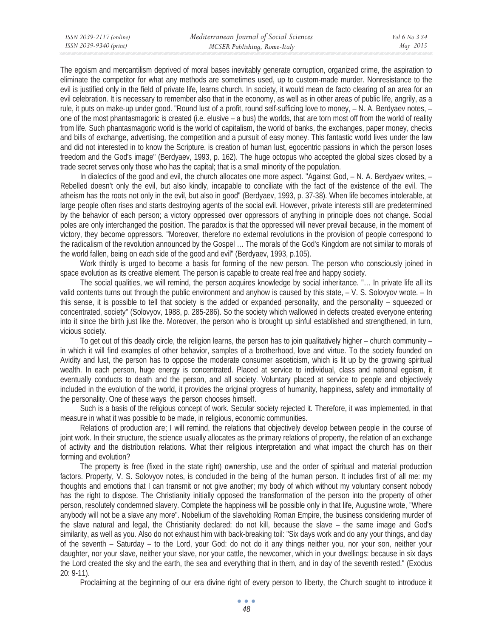The egoism and mercantilism deprived of moral bases inevitably generate corruption, organized crime, the aspiration to eliminate the competitor for what any methods are sometimes used, up to custom-made murder. Nonresistance to the evil is justified only in the field of private life, learns church. In society, it would mean de facto clearing of an area for an evil celebration. It is necessary to remember also that in the economy, as well as in other areas of public life, angrily, as a rule, it puts on make-up under good. "Round lust of a profit, round self-sufficing love to money, – N. A. Berdyaev notes, – one of the most phantasmagoric is created (i.e. elusive – a bus) the worlds, that are torn most off from the world of reality from life. Such phantasmagoric world is the world of capitalism, the world of banks, the exchanges, paper money, checks and bills of exchange, advertising, the competition and a pursuit of easy money. This fantastic world lives under the law and did not interested in to know the Scripture, is creation of human lust, egocentric passions in which the person loses freedom and the God's image" (Berdyaev, 1993, p. 162). The huge octopus who accepted the global sizes closed by a trade secret serves only those who has the capital; that is a small minority of the population.

In dialectics of the good and evil, the church allocates one more aspect. "Against God, – N. A. Berdyaev writes, – Rebelled doesn't only the evil, but also kindly, incapable to conciliate with the fact of the existence of the evil. The atheism has the roots not only in the evil, but also in good" (Berdyaev, 1993, p. 37-38). When life becomes intolerable, at large people often rises and starts destroying agents of the social evil. However, private interests still are predetermined by the behavior of each person; a victory oppressed over oppressors of anything in principle does not change. Social poles are only interchanged the position. The paradox is that the oppressed will never prevail because, in the moment of victory, they become oppressors. "Moreover, therefore no external revolutions in the provision of people correspond to the radicalism of the revolution announced by the Gospel … The morals of the God's Kingdom are not similar to morals of the world fallen, being on each side of the good and evil" (Berdyaev, 1993, p.105).

Work thirdly is urged to become a basis for forming of the new person. The person who consciously joined in space evolution as its creative element. The person is capable to create real free and happy society.

The social qualities, we will remind, the person acquires knowledge by social inheritance. "… In private life all its valid contents turns out through the public environment and anyhow is caused by this state, – V. S. Solovyov wrote. – In this sense, it is possible to tell that society is the added or expanded personality, and the personality – squeezed or concentrated, society" (Solovyov, 1988, p. 285-286). So the society which wallowed in defects created everyone entering into it since the birth just like the. Moreover, the person who is brought up sinful established and strengthened, in turn, vicious society.

To get out of this deadly circle, the religion learns, the person has to join qualitatively higher – church community – in which it will find examples of other behavior, samples of a brotherhood, love and virtue. To the society founded on Avidity and lust, the person has to oppose the moderate consumer asceticism, which is lit up by the growing spiritual wealth. In each person, huge energy is concentrated. Placed at service to individual, class and national egoism, it eventually conducts to death and the person, and all society. Voluntary placed at service to people and objectively included in the evolution of the world, it provides the original progress of humanity, happiness, safety and immortality of the personality. One of these ways the person chooses himself.

Such is a basis of the religious concept of work. Secular society rejected it. Therefore, it was implemented, in that measure in what it was possible to be made, in religious, economic communities.

Relations of production are; I will remind, the relations that objectively develop between people in the course of joint work. In their structure, the science usually allocates as the primary relations of property, the relation of an exchange of activity and the distribution relations. What their religious interpretation and what impact the church has on their forming and evolution?

The property is free (fixed in the state right) ownership, use and the order of spiritual and material production factors. Property, V. S. Solovyov notes, is concluded in the being of the human person. It includes first of all me: my thoughts and emotions that I can transmit or not give another; my body of which without my voluntary consent nobody has the right to dispose. The Christianity initially opposed the transformation of the person into the property of other person, resolutely condemned slavery. Complete the happiness will be possible only in that life, Augustine wrote, "Where anybody will not be a slave any more". Nobelium of the slaveholding Roman Empire, the business considering murder of the slave natural and legal, the Christianity declared: do not kill, because the slave – the same image and God's similarity, as well as you. Also do not exhaust him with back-breaking toil: "Six days work and do any your things, and day of the seventh – Saturday – to the Lord, your God: do not do it any things neither you, nor your son, neither your daughter, nor your slave, neither your slave, nor your cattle, the newcomer, which in your dwellings: because in six days the Lord created the sky and the earth, the sea and everything that in them, and in day of the seventh rested." (Exodus 20: 9-11).

Proclaiming at the beginning of our era divine right of every person to liberty, the Church sought to introduce it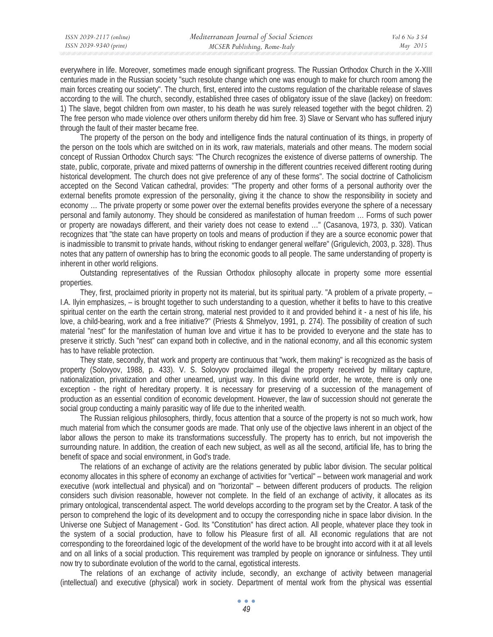everywhere in life. Moreover, sometimes made enough significant progress. The Russian Orthodox Church in the X-XIII centuries made in the Russian society "such resolute change which one was enough to make for church room among the main forces creating our society". The church, first, entered into the customs regulation of the charitable release of slaves according to the will. The church, secondly, established three cases of obligatory issue of the slave (lackey) on freedom: 1) The slave, begot children from own master, to his death he was surely released together with the begot children. 2) The free person who made violence over others uniform thereby did him free. 3) Slave or Servant who has suffered injury through the fault of their master became free.

The property of the person on the body and intelligence finds the natural continuation of its things, in property of the person on the tools which are switched on in its work, raw materials, materials and other means. The modern social concept of Russian Orthodox Church says: "The Church recognizes the existence of diverse patterns of ownership. The state, public, corporate, private and mixed patterns of ownership in the different countries received different rooting during historical development. The church does not give preference of any of these forms". The social doctrine of Catholicism accepted on the Second Vatican cathedral, provides: "The property and other forms of a personal authority over the external benefits promote expression of the personality, giving it the chance to show the responsibility in society and economy … The private property or some power over the external benefits provides everyone the sphere of a necessary personal and family autonomy. They should be considered as manifestation of human freedom … Forms of such power or property are nowadays different, and their variety does not cease to extend …" (Casanova, 1973, p. 330). Vatican recognizes that "the state can have property on tools and means of production if they are a source economic power that is inadmissible to transmit to private hands, without risking to endanger general welfare" (Grigulevich, 2003, p. 328). Thus notes that any pattern of ownership has to bring the economic goods to all people. The same understanding of property is inherent in other world religions.

Outstanding representatives of the Russian Orthodox philosophy allocate in property some more essential properties.

They, first, proclaimed priority in property not its material, but its spiritual party. "A problem of a private property, – I.A. Ilyin emphasizes, – is brought together to such understanding to a question, whether it befits to have to this creative spiritual center on the earth the certain strong, material nest provided to it and provided behind it - a nest of his life, his love, a child-bearing, work and a free initiative?" (Priests & Shmelyov, 1991, p. 274). The possibility of creation of such material "nest" for the manifestation of human love and virtue it has to be provided to everyone and the state has to preserve it strictly. Such "nest" can expand both in collective, and in the national economy, and all this economic system has to have reliable protection.

They state, secondly, that work and property are continuous that "work, them making" is recognized as the basis of property (Solovyov, 1988, p. 433). V. S. Solovyov proclaimed illegal the property received by military capture, nationalization, privatization and other unearned, unjust way. In this divine world order, he wrote, there is only one exception - the right of hereditary property. It is necessary for preserving of a succession of the management of production as an essential condition of economic development. However, the law of succession should not generate the social group conducting a mainly parasitic way of life due to the inherited wealth.

The Russian religious philosophers, thirdly, focus attention that a source of the property is not so much work, how much material from which the consumer goods are made. That only use of the objective laws inherent in an object of the labor allows the person to make its transformations successfully. The property has to enrich, but not impoverish the surrounding nature. In addition, the creation of each new subject, as well as all the second, artificial life, has to bring the benefit of space and social environment, in God's trade.

The relations of an exchange of activity are the relations generated by public labor division. The secular political economy allocates in this sphere of economy an exchange of activities for "vertical" – between work managerial and work executive (work intellectual and physical) and on "horizontal" – between different producers of products. The religion considers such division reasonable, however not complete. In the field of an exchange of activity, it allocates as its primary ontological, transcendental aspect. The world develops according to the program set by the Creator. A task of the person to comprehend the logic of its development and to occupy the corresponding niche in space labor division. In the Universe one Subject of Management - God. Its "Constitution" has direct action. All people, whatever place they took in the system of a social production, have to follow his Pleasure first of all. All economic regulations that are not corresponding to the foreordained logic of the development of the world have to be brought into accord with it at all levels and on all links of a social production. This requirement was trampled by people on ignorance or sinfulness. They until now try to subordinate evolution of the world to the carnal, egotistical interests.

The relations of an exchange of activity include, secondly, an exchange of activity between managerial (intellectual) and executive (physical) work in society. Department of mental work from the physical was essential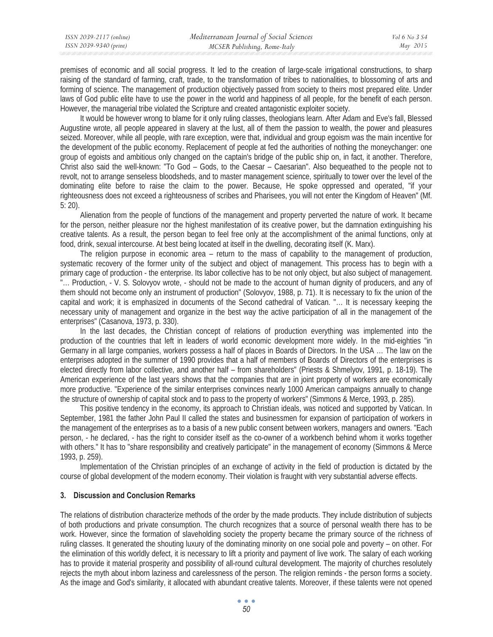| ISSN 2039-2117 (online) | Mediterranean Journal of Social Sciences | Vol 6 No 3 S4 |
|-------------------------|------------------------------------------|---------------|
| ISSN 2039-9340 (print)  | MCSER Publishing, Rome-Italy             | May 2015      |
|                         |                                          |               |

premises of economic and all social progress. It led to the creation of large-scale irrigational constructions, to sharp raising of the standard of farming, craft, trade, to the transformation of tribes to nationalities, to blossoming of arts and forming of science. The management of production objectively passed from society to theirs most prepared elite. Under laws of God public elite have to use the power in the world and happiness of all people, for the benefit of each person. However, the managerial tribe violated the Scripture and created antagonistic exploiter society.

It would be however wrong to blame for it only ruling classes, theologians learn. After Adam and Eve's fall, Blessed Augustine wrote, all people appeared in slavery at the lust, all of them the passion to wealth, the power and pleasures seized. Moreover, while all people, with rare exception, were that, individual and group egoism was the main incentive for the development of the public economy. Replacement of people at fed the authorities of nothing the moneychanger: one group of egoists and ambitious only changed on the captain's bridge of the public ship on, in fact, it another. Therefore, Christ also said the well-known: "To God – Gods, to the Caesar – Caesarian". Also bequeathed to the people not to revolt, not to arrange senseless bloodsheds, and to master management science, spiritually to tower over the level of the dominating elite before to raise the claim to the power. Because, He spoke oppressed and operated, "if your righteousness does not exceed a righteousness of scribes and Pharisees, you will not enter the Kingdom of Heaven" (Mf. 5: 20).

Alienation from the people of functions of the management and property perverted the nature of work. It became for the person, neither pleasure nor the highest manifestation of its creative power, but the damnation extinguishing his creative talents. As a result, the person began to feel free only at the accomplishment of the animal functions, only at food, drink, sexual intercourse. At best being located at itself in the dwelling, decorating itself (K. Marx).

The religion purpose in economic area – return to the mass of capability to the management of production, systematic recovery of the former unity of the subject and object of management. This process has to begin with a primary cage of production - the enterprise. Its labor collective has to be not only object, but also subject of management. "… Production, - V. S. Solovyov wrote, - should not be made to the account of human dignity of producers, and any of them should not become only an instrument of production" (Solovyov, 1988, p. 71). It is necessary to fix the union of the capital and work; it is emphasized in documents of the Second cathedral of Vatican. "… It is necessary keeping the necessary unity of management and organize in the best way the active participation of all in the management of the enterprises" (Casanova, 1973, p. 330).

In the last decades, the Christian concept of relations of production everything was implemented into the production of the countries that left in leaders of world economic development more widely. In the mid-eighties "in Germany in all large companies, workers possess a half of places in Boards of Directors. In the USA … The law on the enterprises adopted in the summer of 1990 provides that a half of members of Boards of Directors of the enterprises is elected directly from labor collective, and another half – from shareholders" (Priests & Shmelyov, 1991, p. 18-19). The American experience of the last years shows that the companies that are in joint property of workers are economically more productive. "Experience of the similar enterprises convinces nearly 1000 American campaigns annually to change the structure of ownership of capital stock and to pass to the property of workers" (Simmons & Merce, 1993, p. 285).

This positive tendency in the economy, its approach to Christian ideals, was noticed and supported by Vatican. In September, 1981 the father John Paul II called the states and businessmen for expansion of participation of workers in the management of the enterprises as to a basis of a new public consent between workers, managers and owners. "Each person, - he declared, - has the right to consider itself as the co-owner of a workbench behind whom it works together with others." It has to "share responsibility and creatively participate" in the management of economy (Simmons & Merce 1993, p. 259).

Implementation of the Christian principles of an exchange of activity in the field of production is dictated by the course of global development of the modern economy. Their violation is fraught with very substantial adverse effects.

### **3. Discussion and Conclusion Remarks**

The relations of distribution characterize methods of the order by the made products. They include distribution of subjects of both productions and private consumption. The church recognizes that a source of personal wealth there has to be work. However, since the formation of slaveholding society the property became the primary source of the richness of ruling classes. It generated the shouting luxury of the dominating minority on one social pole and poverty – on other. For the elimination of this worldly defect, it is necessary to lift a priority and payment of live work. The salary of each working has to provide it material prosperity and possibility of all-round cultural development. The majority of churches resolutely rejects the myth about inborn laziness and carelessness of the person. The religion reminds - the person forms a society. As the image and God's similarity, it allocated with abundant creative talents. Moreover, if these talents were not opened